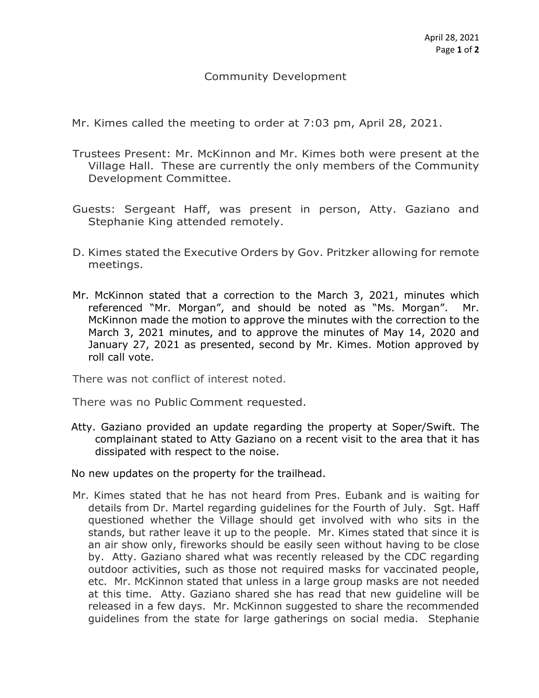## Community Development

Mr. Kimes called the meeting to order at 7:03 pm, April 28, 2021.

- Trustees Present: Mr. McKinnon and Mr. Kimes both were present at the Village Hall. These are currently the only members of the Community Development Committee.
- Guests: Sergeant Haff, was present in person, Atty. Gaziano and Stephanie King attended remotely.
- D. Kimes stated the Executive Orders by Gov. Pritzker allowing for remote meetings.
- Mr. McKinnon stated that a correction to the March 3, 2021, minutes which referenced "Mr. Morgan", and should be noted as "Ms. Morgan". Mr. McKinnon made the motion to approve the minutes with the correction to the March 3, 2021 minutes, and to approve the minutes of May 14, 2020 and January 27, 2021 as presented, second by Mr. Kimes. Motion approved by roll call vote.

There was not conflict of interest noted.

There was no Public Comment requested.

Atty. Gaziano provided an update regarding the property at Soper/Swift. The complainant stated to Atty Gaziano on a recent visit to the area that it has dissipated with respect to the noise.

No new updates on the property for the trailhead.

Mr. Kimes stated that he has not heard from Pres. Eubank and is waiting for details from Dr. Martel regarding guidelines for the Fourth of July. Sgt. Haff questioned whether the Village should get involved with who sits in the stands, but rather leave it up to the people. Mr. Kimes stated that since it is an air show only, fireworks should be easily seen without having to be close by. Atty. Gaziano shared what was recently released by the CDC regarding outdoor activities, such as those not required masks for vaccinated people, etc. Mr. McKinnon stated that unless in a large group masks are not needed at this time. Atty. Gaziano shared she has read that new guideline will be released in a few days. Mr. McKinnon suggested to share the recommended guidelines from the state for large gatherings on social media. Stephanie